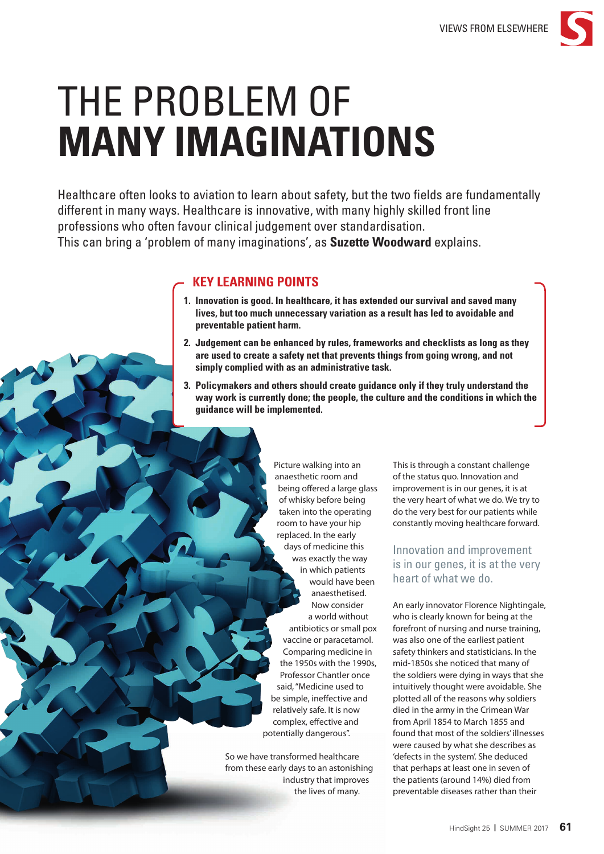

# THE PROBLEM OF **MANY IMAGINATIONS**

Healthcare often looks to aviation to learn about safety, but the two fields are fundamentally different in many ways. Healthcare is innovative, with many highly skilled front line professions who often favour clinical judgement over standardisation. This can bring a 'problem of many imaginations', as **Suzette Woodward** explains.

## **KEY LEARNING POINTS**

- **1. Innovation is good. In healthcare, it has extended our survival and saved many lives, but too much unnecessary variation as a result has led to avoidable and preventable patient harm.**
- **2. Judgement can be enhanced by rules, frameworks and checklists as long as they are used to create a safety net that prevents things from going wrong, and not simply complied with as an administrative task.**
- **3. Policymakers and others should create guidance only if they truly understand the way work is currently done; the people, the culture and the conditions in which the guidance will be implemented.**

Picture walking into an anaesthetic room and being offered a large glass of whisky before being taken into the operating room to have your hip replaced. In the early days of medicine this was exactly the way in which patients would have been anaesthetised. Now consider a world without antibiotics or small pox vaccine or paracetamol. Comparing medicine in the 1950s with the 1990s, Professor Chantler once said, "Medicine used to be simple, ineffective and relatively safe. It is now complex, effective and potentially dangerous".

So we have transformed healthcare from these early days to an astonishing industry that improves the lives of many.

This is through a constant challenge of the status quo. Innovation and improvement is in our genes, it is at the very heart of what we do. We try to do the very best for our patients while constantly moving healthcare forward.

## Innovation and improvement is in our genes, it is at the very heart of what we do.

An early innovator Florence Nightingale, who is clearly known for being at the forefront of nursing and nurse training, was also one of the earliest patient safety thinkers and statisticians. In the mid-1850s she noticed that many of the soldiers were dying in ways that she intuitively thought were avoidable. She plotted all of the reasons why soldiers died in the army in the Crimean War from April 1854 to March 1855 and found that most of the soldiers' illnesses were caused by what she describes as 'defects in the system'. She deduced that perhaps at least one in seven of the patients (around 14%) died from preventable diseases rather than their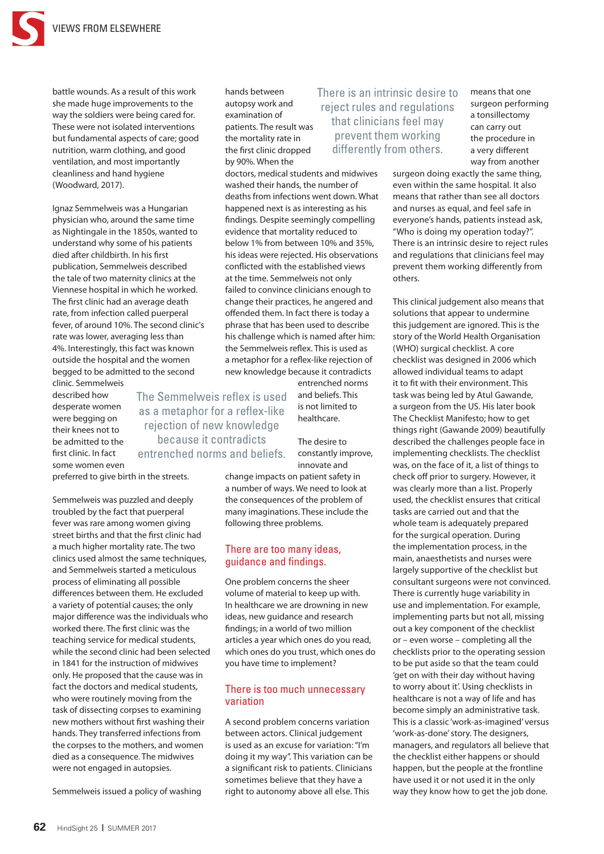

battle wounds. As a result of this work she made huge improvements to the way the soldiers were being cared for. These were not isolated interventions but fundamental aspects of care; good nutrition, warm clothing, and good ventilation, and most importantly cleanliness and hand hygiene (Woodward, 2017).

Ignaz Semmelweis was a Hungarian physician who, around the same time as Nightingale in the 1850s, wanted to understand why some of his patients died after childbirth. In his first publication, Semmelweis described the tale of two maternity clinics at the Viennese hospital in which he worked. The first clinic had an average death rate, from infection called puerperal fever, of around 10%. The second clinic's rate was lower, averaging less than 4%. Interestingly, this fact was known outside the hospital and the women begged to be admitted to the second clinic. Semmelweis

described how desperate women were begging on their knees not to be admitted to the first clinic. In fact some women even

The Semmelweis reflex is used as a metaphor for a reflex-like rejection of new knowledge because it contradicts entrenched norms and beliefs.

preferred to give birth in the streets.

Semmelweis was puzzled and deeply troubled by the fact that puerperal fever was rare among women giving street births and that the first clinic had a much higher mortality rate. The two clinics used almost the same techniques, and Semmelweis started a meticulous process of eliminating all possible differences between them. He excluded a variety of potential causes; the only major difference was the individuals who worked there. The first clinic was the teaching service for medical students, while the second clinic had been selected in 1841 for the instruction of midwives only. He proposed that the cause was in fact the doctors and medical students, who were routinely moving from the task of dissecting corpses to examining new mothers without first washing their hands. They transferred infections from the corpses to the mothers, and women died as a consequence. The midwives were not engaged in autopsies.

Semmelweis issued a policy of washing

hands between autopsy work and examination of patients. The result was the mortality rate in the first clinic dropped by 90%. When the

doctors, medical students and midwives washed their hands, the number of deaths from infections went down. What happened next is as interesting as his findings. Despite seemingly compelling evidence that mortality reduced to below 1% from between 10% and 35%, his ideas were rejected. His observations conflicted with the established views at the time. Semmelweis not only failed to convince clinicians enough to change their practices, he angered and offended them. In fact there is today a phrase that has been used to describe his challenge which is named after him: the Semmelweis reflex. This is used as a metaphor for a reflex-like rejection of new knowledge because it contradicts

> entrenched norms and beliefs. This is not limited to healthcare.

The desire to constantly improve, innovate and

## There is an intrinsic desire to reject rules and regulations that clinicians feel may prevent them working differently from others.

means that one surgeon performing a tonsillectomy can carry out the procedure in a very different way from another

surgeon doing exactly the same thing, even within the same hospital. It also means that rather than see all doctors and nurses as equal, and feel safe in everyone's hands, patients instead ask, "Who is doing my operation today?". There is an intrinsic desire to reject rules and regulations that clinicians feel may prevent them working differently from others.

This clinical judgement also means that solutions that appear to undermine this judgement are ignored. This is the story of the World Health Organisation (WHO) surgical checklist. A core checklist was designed in 2006 which allowed individual teams to adapt it to fit with their environment. This task was being led by Atul Gawande, a surgeon from the US. His later book The Checklist Manifesto; how to get things right (Gawande 2009) beautifully described the challenges people face in implementing checklists. The checklist was, on the face of it, a list of things to check off prior to surgery. However, it was clearly more than a list. Properly used, the checklist ensures that critical tasks are carried out and that the whole team is adequately prepared for the surgical operation. During the implementation process, in the main, anaesthetists and nurses were largely supportive of the checklist but consultant surgeons were not convinced. There is currently huge variability in use and implementation. For example, implementing parts but not all, missing out a key component of the checklist or – even worse – completing all the checklists prior to the operating session to be put aside so that the team could 'get on with their day without having to worry about it'. Using checklists in healthcare is not a way of life and has become simply an administrative task. This is a classic 'work-as-imagined' versus 'work-as-done' story. The designers, managers, and regulators all believe that the checklist either happens or should happen, but the people at the frontline have used it or not used it in the only way they know how to get the job done.

the consequences of the problem of many imaginations. These include the following three problems.

## There are too many ideas, guidance and findings.

change impacts on patient safety in a number of ways. We need to look at

One problem concerns the sheer volume of material to keep up with. In healthcare we are drowning in new ideas, new guidance and research findings; in a world of two million articles a year which ones do you read, which ones do you trust, which ones do you have time to implement?

### There is too much unnecessary variation

A second problem concerns variation between actors. Clinical judgement is used as an excuse for variation: "I'm doing it my way". This variation can be a significant risk to patients. Clinicians sometimes believe that they have a right to autonomy above all else. This